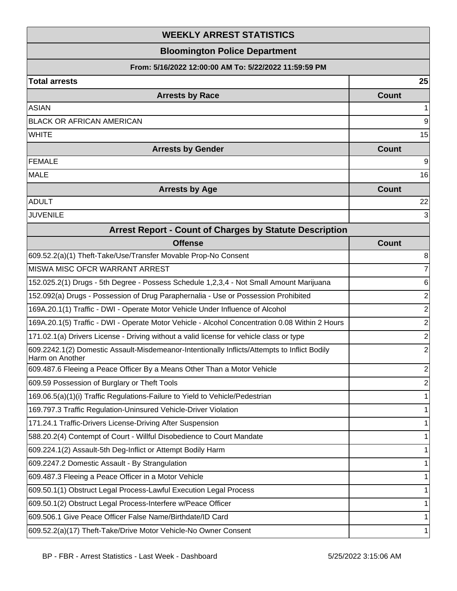## **WEEKLY ARREST STATISTICS**

## **Bloomington Police Department**

## **From: 5/16/2022 12:00:00 AM To: 5/22/2022 11:59:59 PM**

| <b>Total arrests</b>                                                                                            | 25             |
|-----------------------------------------------------------------------------------------------------------------|----------------|
| <b>Arrests by Race</b>                                                                                          | <b>Count</b>   |
| <b>ASIAN</b>                                                                                                    | 1              |
| BLACK OR AFRICAN AMERICAN                                                                                       | 9              |
| <b>WHITE</b>                                                                                                    | 15             |
| <b>Arrests by Gender</b>                                                                                        | <b>Count</b>   |
| <b>FEMALE</b>                                                                                                   | 9              |
| <b>MALE</b>                                                                                                     | 16             |
| <b>Arrests by Age</b>                                                                                           | <b>Count</b>   |
| <b>ADULT</b>                                                                                                    | 22             |
| <b>JUVENILE</b>                                                                                                 | 3              |
| <b>Arrest Report - Count of Charges by Statute Description</b>                                                  |                |
| <b>Offense</b>                                                                                                  | <b>Count</b>   |
| 609.52.2(a)(1) Theft-Take/Use/Transfer Movable Prop-No Consent                                                  | 8              |
| MISWA MISC OFCR WARRANT ARREST                                                                                  | 7              |
| 152.025.2(1) Drugs - 5th Degree - Possess Schedule 1,2,3,4 - Not Small Amount Marijuana                         | 6              |
| 152.092(a) Drugs - Possession of Drug Paraphernalia - Use or Possession Prohibited                              | 2              |
| 169A.20.1(1) Traffic - DWI - Operate Motor Vehicle Under Influence of Alcohol                                   | $\overline{2}$ |
| 169A.20.1(5) Traffic - DWI - Operate Motor Vehicle - Alcohol Concentration 0.08 Within 2 Hours                  | $\overline{2}$ |
| 171.02.1(a) Drivers License - Driving without a valid license for vehicle class or type                         | $\overline{2}$ |
| 609.2242.1(2) Domestic Assault-Misdemeanor-Intentionally Inflicts/Attempts to Inflict Bodily<br>Harm on Another | $\overline{2}$ |
| 609.487.6 Fleeing a Peace Officer By a Means Other Than a Motor Vehicle                                         | 2              |
| 609.59 Possession of Burglary or Theft Tools                                                                    | $\overline{2}$ |
| 169.06.5(a)(1)(i) Traffic Regulations-Failure to Yield to Vehicle/Pedestrian                                    | 1              |
| 169.797.3 Traffic Regulation-Uninsured Vehicle-Driver Violation                                                 | 1              |
| 171.24.1 Traffic-Drivers License-Driving After Suspension                                                       |                |
| 588.20.2(4) Contempt of Court - Willful Disobedience to Court Mandate                                           |                |
| 609.224.1(2) Assault-5th Deg-Inflict or Attempt Bodily Harm                                                     | 1              |
| 609.2247.2 Domestic Assault - By Strangulation                                                                  | 1              |
| 609.487.3 Fleeing a Peace Officer in a Motor Vehicle                                                            | 1              |
| 609.50.1(1) Obstruct Legal Process-Lawful Execution Legal Process                                               | 1              |

609.50.1(2) Obstruct Legal Process-Interfere w/Peace Officer 1

609.506.1 Give Peace Officer False Name/Birthdate/ID Card 1

609.52.2(a)(17) Theft-Take/Drive Motor Vehicle-No Owner Consent 1

2